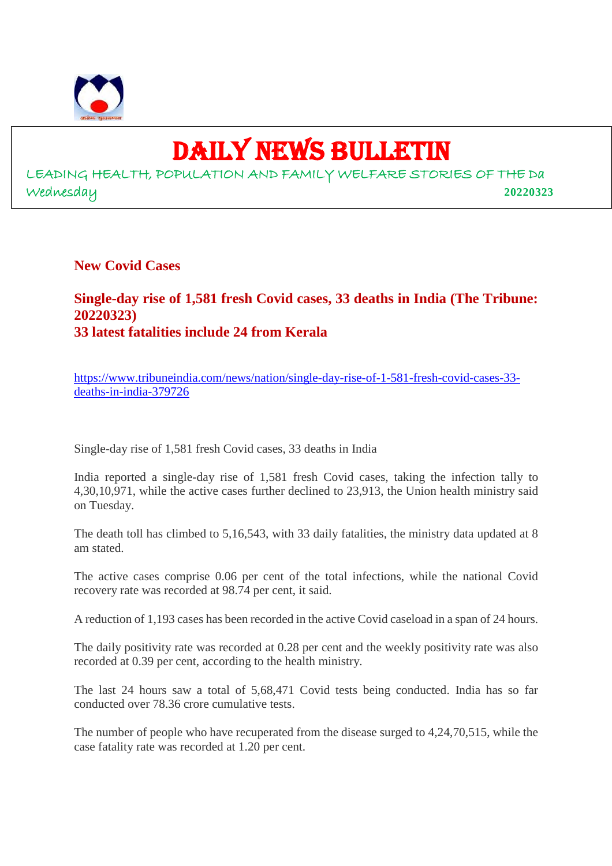

# DAILY NEWS BULLETIN

LEADING HEALTH, POPULATION AND FAMILY WELFARE STORIES OF THE Da Wednesday **20220323**

**New Covid Cases**

# **Single-day rise of 1,581 fresh Covid cases, 33 deaths in India (The Tribune: 20220323) 33 latest fatalities include 24 from Kerala**

https://www.tribuneindia.com/news/nation/single-day-rise-of-1-581-fresh-covid-cases-33 deaths-in-india-379726

Single-day rise of 1,581 fresh Covid cases, 33 deaths in India

India reported a single-day rise of 1,581 fresh Covid cases, taking the infection tally to 4,30,10,971, while the active cases further declined to 23,913, the Union health ministry said on Tuesday.

The death toll has climbed to 5,16,543, with 33 daily fatalities, the ministry data updated at 8 am stated.

The active cases comprise 0.06 per cent of the total infections, while the national Covid recovery rate was recorded at 98.74 per cent, it said.

A reduction of 1,193 cases has been recorded in the active Covid caseload in a span of 24 hours.

The daily positivity rate was recorded at 0.28 per cent and the weekly positivity rate was also recorded at 0.39 per cent, according to the health ministry.

The last 24 hours saw a total of 5,68,471 Covid tests being conducted. India has so far conducted over 78.36 crore cumulative tests.

The number of people who have recuperated from the disease surged to 4,24,70,515, while the case fatality rate was recorded at 1.20 per cent.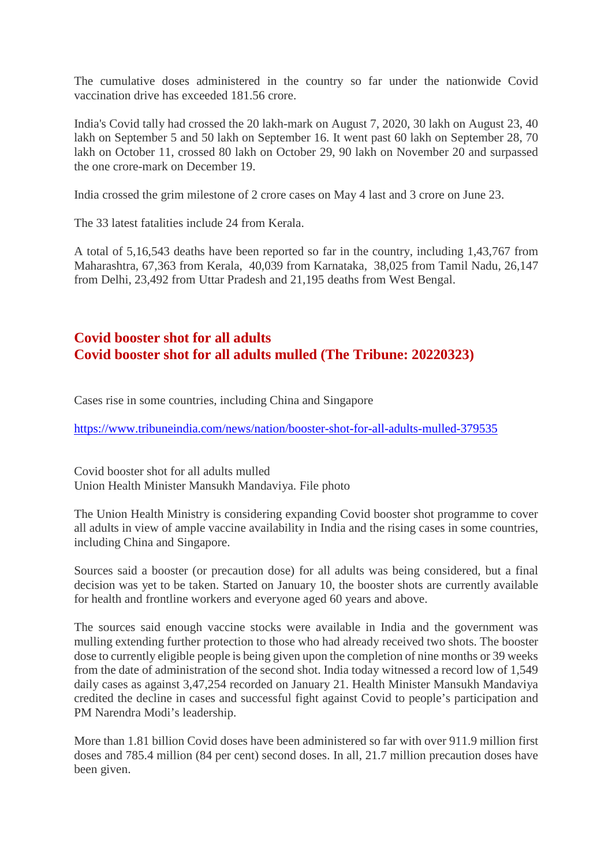The cumulative doses administered in the country so far under the nationwide Covid vaccination drive has exceeded 181.56 crore.

India's Covid tally had crossed the 20 lakh-mark on August 7, 2020, 30 lakh on August 23, 40 lakh on September 5 and 50 lakh on September 16. It went past 60 lakh on September 28, 70 lakh on October 11, crossed 80 lakh on October 29, 90 lakh on November 20 and surpassed the one crore-mark on December 19.

India crossed the grim milestone of 2 crore cases on May 4 last and 3 crore on June 23.

The 33 latest fatalities include 24 from Kerala.

A total of 5,16,543 deaths have been reported so far in the country, including 1,43,767 from Maharashtra, 67,363 from Kerala, 40,039 from Karnataka, 38,025 from Tamil Nadu, 26,147 from Delhi, 23,492 from Uttar Pradesh and 21,195 deaths from West Bengal.

# **Covid booster shot for all adults Covid booster shot for all adults mulled (The Tribune: 20220323)**

Cases rise in some countries, including China and Singapore

https://www.tribuneindia.com/news/nation/booster-shot-for-all-adults-mulled-379535

Covid booster shot for all adults mulled Union Health Minister Mansukh Mandaviya. File photo

The Union Health Ministry is considering expanding Covid booster shot programme to cover all adults in view of ample vaccine availability in India and the rising cases in some countries, including China and Singapore.

Sources said a booster (or precaution dose) for all adults was being considered, but a final decision was yet to be taken. Started on January 10, the booster shots are currently available for health and frontline workers and everyone aged 60 years and above.

The sources said enough vaccine stocks were available in India and the government was mulling extending further protection to those who had already received two shots. The booster dose to currently eligible people is being given upon the completion of nine months or 39 weeks from the date of administration of the second shot. India today witnessed a record low of 1,549 daily cases as against 3,47,254 recorded on January 21. Health Minister Mansukh Mandaviya credited the decline in cases and successful fight against Covid to people's participation and PM Narendra Modi's leadership.

More than 1.81 billion Covid doses have been administered so far with over 911.9 million first doses and 785.4 million (84 per cent) second doses. In all, 21.7 million precaution doses have been given.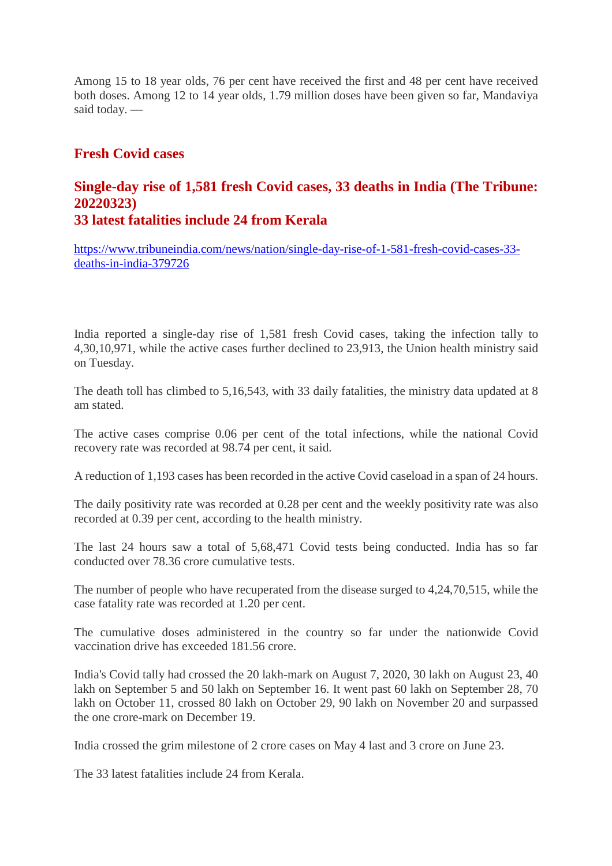Among 15 to 18 year olds, 76 per cent have received the first and 48 per cent have received both doses. Among 12 to 14 year olds, 1.79 million doses have been given so far, Mandaviya said today. —

# **Fresh Covid cases**

# **Single-day rise of 1,581 fresh Covid cases, 33 deaths in India (The Tribune: 20220323)**

**33 latest fatalities include 24 from Kerala**

https://www.tribuneindia.com/news/nation/single-day-rise-of-1-581-fresh-covid-cases-33 deaths-in-india-379726

India reported a single-day rise of 1,581 fresh Covid cases, taking the infection tally to 4,30,10,971, while the active cases further declined to 23,913, the Union health ministry said on Tuesday.

The death toll has climbed to 5,16,543, with 33 daily fatalities, the ministry data updated at 8 am stated.

The active cases comprise 0.06 per cent of the total infections, while the national Covid recovery rate was recorded at 98.74 per cent, it said.

A reduction of 1,193 cases has been recorded in the active Covid caseload in a span of 24 hours.

The daily positivity rate was recorded at 0.28 per cent and the weekly positivity rate was also recorded at 0.39 per cent, according to the health ministry.

The last 24 hours saw a total of 5,68,471 Covid tests being conducted. India has so far conducted over 78.36 crore cumulative tests.

The number of people who have recuperated from the disease surged to 4,24,70,515, while the case fatality rate was recorded at 1.20 per cent.

The cumulative doses administered in the country so far under the nationwide Covid vaccination drive has exceeded 181.56 crore.

India's Covid tally had crossed the 20 lakh-mark on August 7, 2020, 30 lakh on August 23, 40 lakh on September 5 and 50 lakh on September 16. It went past 60 lakh on September 28, 70 lakh on October 11, crossed 80 lakh on October 29, 90 lakh on November 20 and surpassed the one crore-mark on December 19.

India crossed the grim milestone of 2 crore cases on May 4 last and 3 crore on June 23.

The 33 latest fatalities include 24 from Kerala.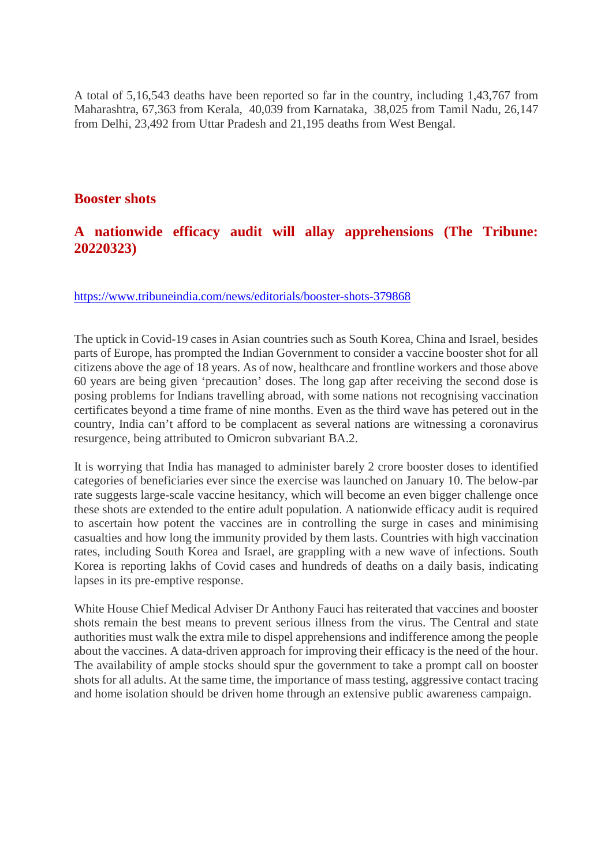A total of 5,16,543 deaths have been reported so far in the country, including 1,43,767 from Maharashtra, 67,363 from Kerala, 40,039 from Karnataka, 38,025 from Tamil Nadu, 26,147 from Delhi, 23,492 from Uttar Pradesh and 21,195 deaths from West Bengal.

## **Booster shots**

# **A nationwide efficacy audit will allay apprehensions (The Tribune: 20220323)**

https://www.tribuneindia.com/news/editorials/booster-shots-379868

The uptick in Covid-19 cases in Asian countries such as South Korea, China and Israel, besides parts of Europe, has prompted the Indian Government to consider a vaccine booster shot for all citizens above the age of 18 years. As of now, healthcare and frontline workers and those above 60 years are being given 'precaution' doses. The long gap after receiving the second dose is posing problems for Indians travelling abroad, with some nations not recognising vaccination certificates beyond a time frame of nine months. Even as the third wave has petered out in the country, India can't afford to be complacent as several nations are witnessing a coronavirus resurgence, being attributed to Omicron subvariant BA.2.

It is worrying that India has managed to administer barely 2 crore booster doses to identified categories of beneficiaries ever since the exercise was launched on January 10. The below-par rate suggests large-scale vaccine hesitancy, which will become an even bigger challenge once these shots are extended to the entire adult population. A nationwide efficacy audit is required to ascertain how potent the vaccines are in controlling the surge in cases and minimising casualties and how long the immunity provided by them lasts. Countries with high vaccination rates, including South Korea and Israel, are grappling with a new wave of infections. South Korea is reporting lakhs of Covid cases and hundreds of deaths on a daily basis, indicating lapses in its pre-emptive response.

White House Chief Medical Adviser Dr Anthony Fauci has reiterated that vaccines and booster shots remain the best means to prevent serious illness from the virus. The Central and state authorities must walk the extra mile to dispel apprehensions and indifference among the people about the vaccines. A data-driven approach for improving their efficacy is the need of the hour. The availability of ample stocks should spur the government to take a prompt call on booster shots for all adults. At the same time, the importance of mass testing, aggressive contact tracing and home isolation should be driven home through an extensive public awareness campaign.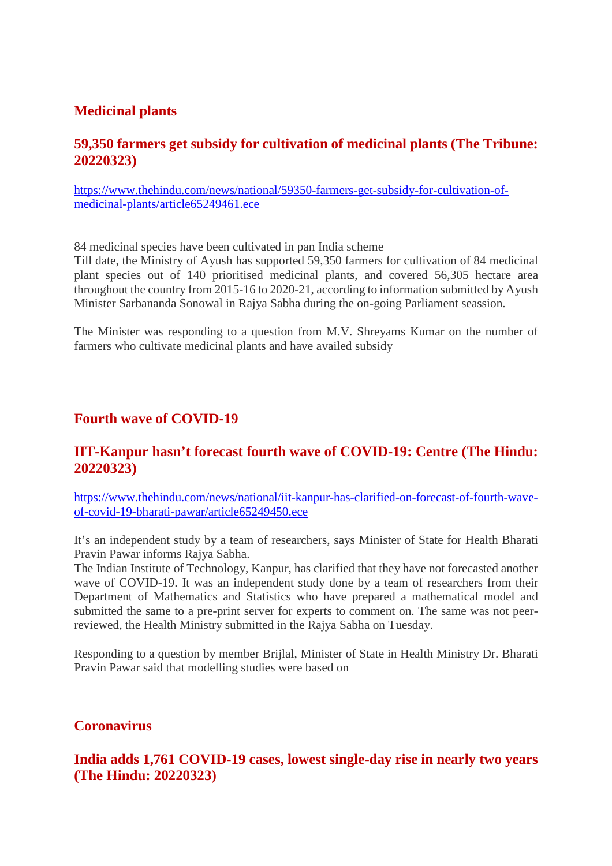# **Medicinal plants**

# **59,350 farmers get subsidy for cultivation of medicinal plants (The Tribune: 20220323)**

https://www.thehindu.com/news/national/59350-farmers-get-subsidy-for-cultivation-ofmedicinal-plants/article65249461.ece

84 medicinal species have been cultivated in pan India scheme

Till date, the Ministry of Ayush has supported 59,350 farmers for cultivation of 84 medicinal plant species out of 140 prioritised medicinal plants, and covered 56,305 hectare area throughout the country from 2015-16 to 2020-21, according to information submitted by Ayush Minister Sarbananda Sonowal in Rajya Sabha during the on-going Parliament seassion.

The Minister was responding to a question from M.V. Shreyams Kumar on the number of farmers who cultivate medicinal plants and have availed subsidy

# **Fourth wave of COVID-19**

# **IIT-Kanpur hasn't forecast fourth wave of COVID-19: Centre (The Hindu: 20220323)**

https://www.thehindu.com/news/national/iit-kanpur-has-clarified-on-forecast-of-fourth-waveof-covid-19-bharati-pawar/article65249450.ece

It's an independent study by a team of researchers, says Minister of State for Health Bharati Pravin Pawar informs Rajya Sabha.

The Indian Institute of Technology, Kanpur, has clarified that they have not forecasted another wave of COVID-19. It was an independent study done by a team of researchers from their Department of Mathematics and Statistics who have prepared a mathematical model and submitted the same to a pre-print server for experts to comment on. The same was not peerreviewed, the Health Ministry submitted in the Rajya Sabha on Tuesday.

Responding to a question by member Brijlal, Minister of State in Health Ministry Dr. Bharati Pravin Pawar said that modelling studies were based on

## **Coronavirus**

**India adds 1,761 COVID-19 cases, lowest single-day rise in nearly two years (The Hindu: 20220323)**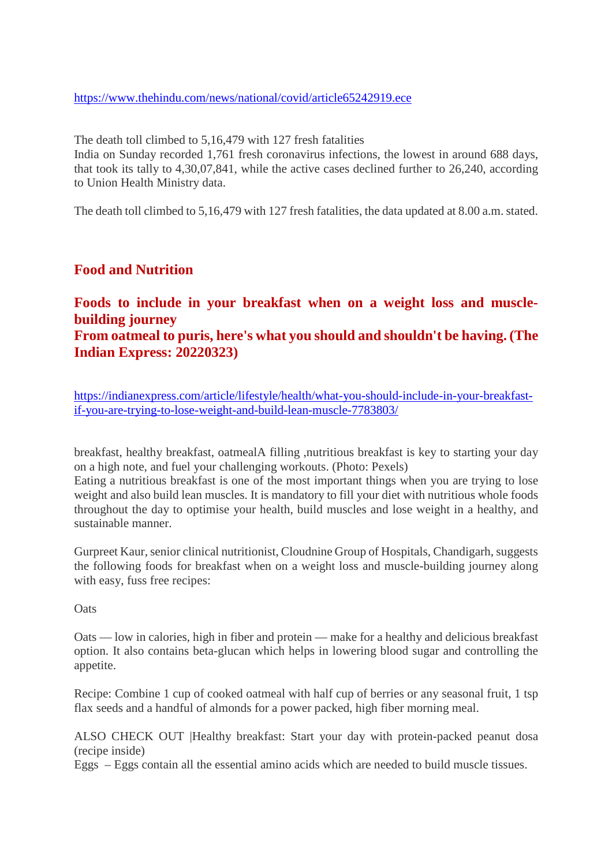https://www.thehindu.com/news/national/covid/article65242919.ece

The death toll climbed to 5,16,479 with 127 fresh fatalities

India on Sunday recorded 1,761 fresh coronavirus infections, the lowest in around 688 days, that took its tally to 4,30,07,841, while the active cases declined further to 26,240, according to Union Health Ministry data.

The death toll climbed to 5,16,479 with 127 fresh fatalities, the data updated at 8.00 a.m. stated.

# **Food and Nutrition**

# **Foods to include in your breakfast when on a weight loss and musclebuilding journey From oatmeal to puris, here's what you should and shouldn't be having. (The Indian Express: 20220323)**

https://indianexpress.com/article/lifestyle/health/what-you-should-include-in-your-breakfastif-you-are-trying-to-lose-weight-and-build-lean-muscle-7783803/

breakfast, healthy breakfast, oatmealA filling ,nutritious breakfast is key to starting your day on a high note, and fuel your challenging workouts. (Photo: Pexels)

Eating a nutritious breakfast is one of the most important things when you are trying to lose weight and also build lean muscles. It is mandatory to fill your diet with nutritious whole foods throughout the day to optimise your health, build muscles and lose weight in a healthy, and sustainable manner.

Gurpreet Kaur, senior clinical nutritionist, Cloudnine Group of Hospitals, Chandigarh, suggests the following foods for breakfast when on a weight loss and muscle-building journey along with easy, fuss free recipes:

**Oats** 

Oats — low in calories, high in fiber and protein — make for a healthy and delicious breakfast option. It also contains beta-glucan which helps in lowering blood sugar and controlling the appetite.

Recipe: Combine 1 cup of cooked oatmeal with half cup of berries or any seasonal fruit, 1 tsp flax seeds and a handful of almonds for a power packed, high fiber morning meal.

ALSO CHECK OUT |Healthy breakfast: Start your day with protein-packed peanut dosa (recipe inside)

Eggs – Eggs contain all the essential amino acids which are needed to build muscle tissues.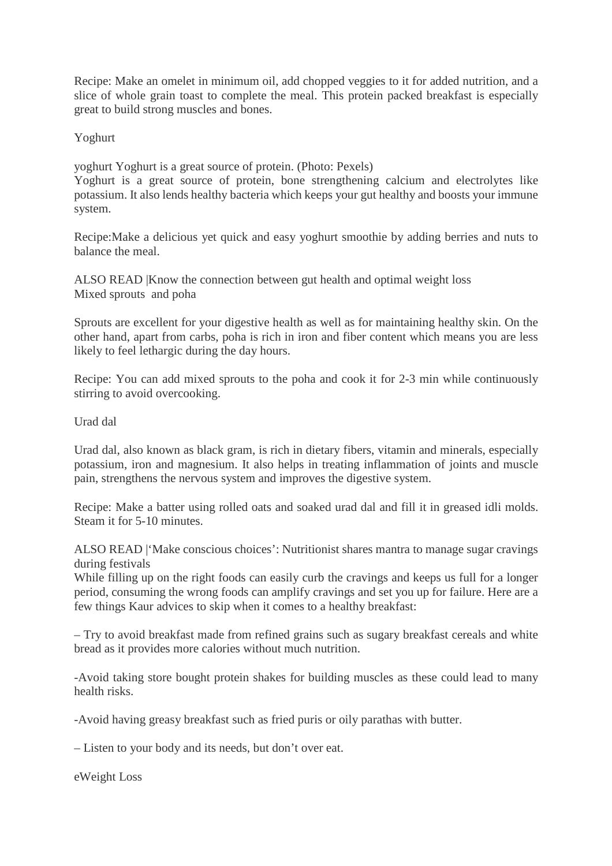Recipe: Make an omelet in minimum oil, add chopped veggies to it for added nutrition, and a slice of whole grain toast to complete the meal. This protein packed breakfast is especially great to build strong muscles and bones.

Yoghurt

yoghurt Yoghurt is a great source of protein. (Photo: Pexels)

Yoghurt is a great source of protein, bone strengthening calcium and electrolytes like potassium. It also lends healthy bacteria which keeps your gut healthy and boosts your immune system.

Recipe:Make a delicious yet quick and easy yoghurt smoothie by adding berries and nuts to balance the meal.

ALSO READ |Know the connection between gut health and optimal weight loss Mixed sprouts and poha

Sprouts are excellent for your digestive health as well as for maintaining healthy skin. On the other hand, apart from carbs, poha is rich in iron and fiber content which means you are less likely to feel lethargic during the day hours.

Recipe: You can add mixed sprouts to the poha and cook it for 2-3 min while continuously stirring to avoid overcooking.

Urad dal

Urad dal, also known as black gram, is rich in dietary fibers, vitamin and minerals, especially potassium, iron and magnesium. It also helps in treating inflammation of joints and muscle pain, strengthens the nervous system and improves the digestive system.

Recipe: Make a batter using rolled oats and soaked urad dal and fill it in greased idli molds. Steam it for 5-10 minutes.

ALSO READ |'Make conscious choices': Nutritionist shares mantra to manage sugar cravings during festivals

While filling up on the right foods can easily curb the cravings and keeps us full for a longer period, consuming the wrong foods can amplify cravings and set you up for failure. Here are a few things Kaur advices to skip when it comes to a healthy breakfast:

– Try to avoid breakfast made from refined grains such as sugary breakfast cereals and white bread as it provides more calories without much nutrition.

-Avoid taking store bought protein shakes for building muscles as these could lead to many health risks.

-Avoid having greasy breakfast such as fried puris or oily parathas with butter.

– Listen to your body and its needs, but don't over eat.

eWeight Loss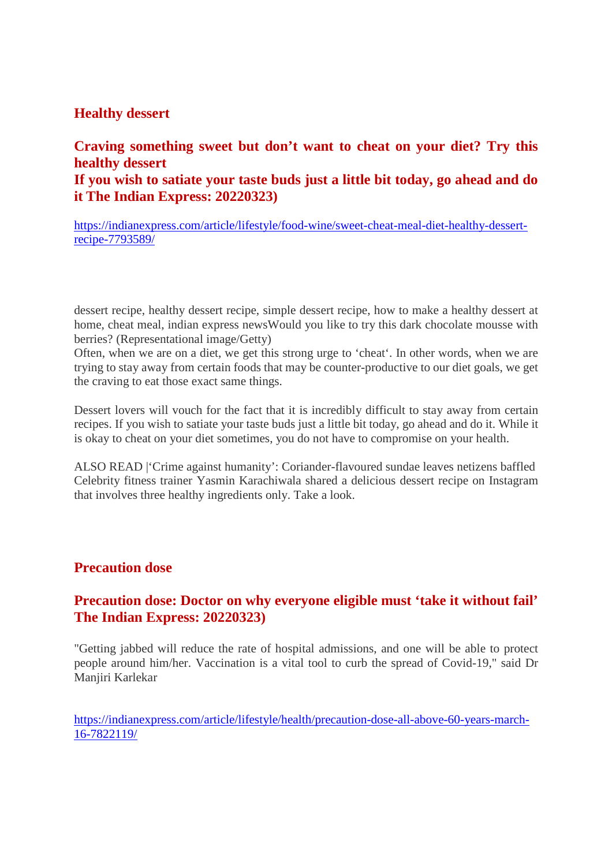## **Healthy dessert**

# **Craving something sweet but don't want to cheat on your diet? Try this healthy dessert If you wish to satiate your taste buds just a little bit today, go ahead and do**

**it The Indian Express: 20220323)**

https://indianexpress.com/article/lifestyle/food-wine/sweet-cheat-meal-diet-healthy-dessertrecipe-7793589/

dessert recipe, healthy dessert recipe, simple dessert recipe, how to make a healthy dessert at home, cheat meal, indian express newsWould you like to try this dark chocolate mousse with berries? (Representational image/Getty)

Often, when we are on a diet, we get this strong urge to 'cheat'. In other words, when we are trying to stay away from certain foods that may be counter-productive to our diet goals, we get the craving to eat those exact same things.

Dessert lovers will vouch for the fact that it is incredibly difficult to stay away from certain recipes. If you wish to satiate your taste buds just a little bit today, go ahead and do it. While it is okay to cheat on your diet sometimes, you do not have to compromise on your health.

ALSO READ |'Crime against humanity': Coriander-flavoured sundae leaves netizens baffled Celebrity fitness trainer Yasmin Karachiwala shared a delicious dessert recipe on Instagram that involves three healthy ingredients only. Take a look.

# **Precaution dose**

# **Precaution dose: Doctor on why everyone eligible must 'take it without fail' The Indian Express: 20220323)**

"Getting jabbed will reduce the rate of hospital admissions, and one will be able to protect people around him/her. Vaccination is a vital tool to curb the spread of Covid-19," said Dr Manjiri Karlekar

https://indianexpress.com/article/lifestyle/health/precaution-dose-all-above-60-years-march-16-7822119/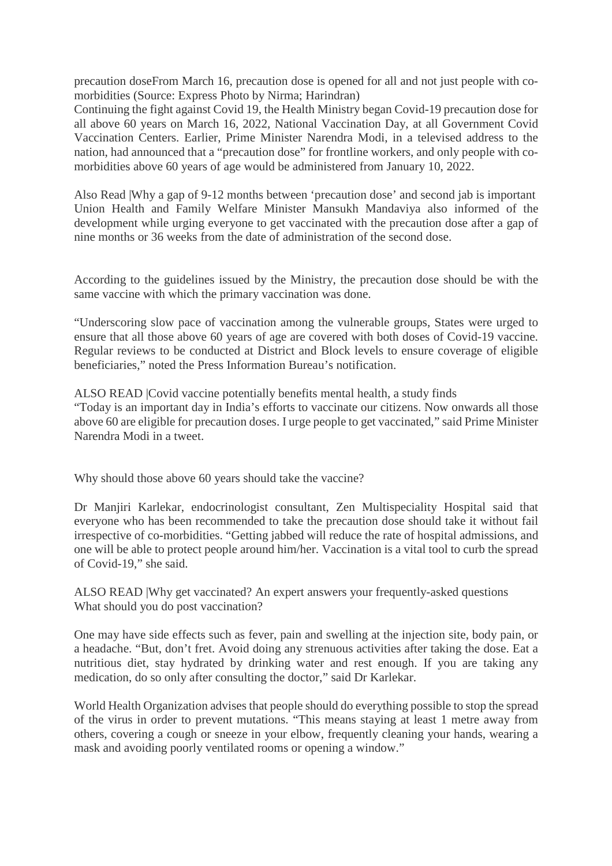precaution doseFrom March 16, precaution dose is opened for all and not just people with comorbidities (Source: Express Photo by Nirma; Harindran)

Continuing the fight against Covid 19, the Health Ministry began Covid-19 precaution dose for all above 60 years on March 16, 2022, National Vaccination Day, at all Government Covid Vaccination Centers. Earlier, Prime Minister Narendra Modi, in a televised address to the nation, had announced that a "precaution dose" for frontline workers, and only people with comorbidities above 60 years of age would be administered from January 10, 2022.

Also Read |Why a gap of 9-12 months between 'precaution dose' and second jab is important Union Health and Family Welfare Minister Mansukh Mandaviya also informed of the development while urging everyone to get vaccinated with the precaution dose after a gap of nine months or 36 weeks from the date of administration of the second dose.

According to the guidelines issued by the Ministry, the precaution dose should be with the same vaccine with which the primary vaccination was done.

"Underscoring slow pace of vaccination among the vulnerable groups, States were urged to ensure that all those above 60 years of age are covered with both doses of Covid-19 vaccine. Regular reviews to be conducted at District and Block levels to ensure coverage of eligible beneficiaries," noted the Press Information Bureau's notification.

ALSO READ |Covid vaccine potentially benefits mental health, a study finds "Today is an important day in India's efforts to vaccinate our citizens. Now onwards all those above 60 are eligible for precaution doses. I urge people to get vaccinated," said Prime Minister Narendra Modi in a tweet.

Why should those above 60 years should take the vaccine?

Dr Manjiri Karlekar, endocrinologist consultant, Zen Multispeciality Hospital said that everyone who has been recommended to take the precaution dose should take it without fail irrespective of co-morbidities. "Getting jabbed will reduce the rate of hospital admissions, and one will be able to protect people around him/her. Vaccination is a vital tool to curb the spread of Covid-19," she said.

ALSO READ |Why get vaccinated? An expert answers your frequently-asked questions What should you do post vaccination?

One may have side effects such as fever, pain and swelling at the injection site, body pain, or a headache. "But, don't fret. Avoid doing any strenuous activities after taking the dose. Eat a nutritious diet, stay hydrated by drinking water and rest enough. If you are taking any medication, do so only after consulting the doctor," said Dr Karlekar.

World Health Organization advises that people should do everything possible to stop the spread of the virus in order to prevent mutations. "This means staying at least 1 metre away from others, covering a cough or sneeze in your elbow, frequently cleaning your hands, wearing a mask and avoiding poorly ventilated rooms or opening a window."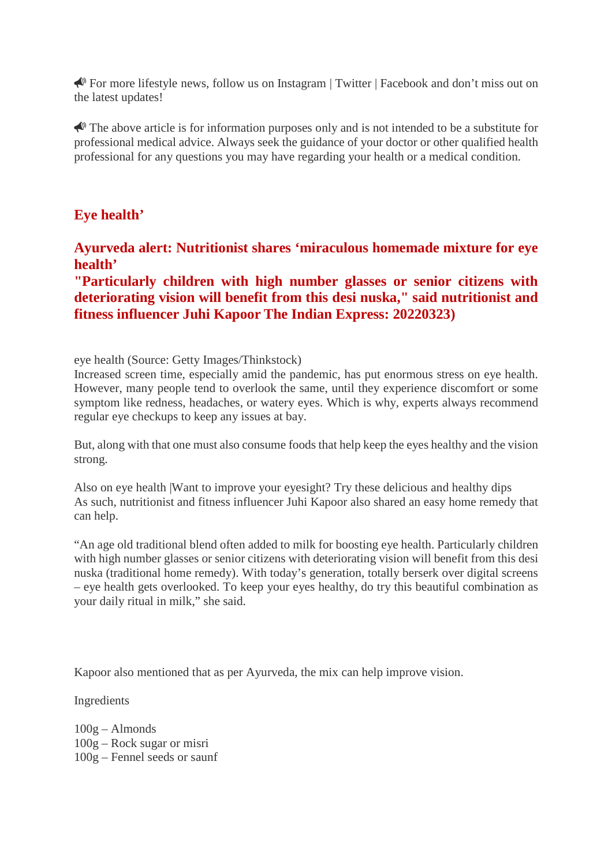For more lifestyle news, follow us on Instagram | Twitter | Facebook and don't miss out on the latest updates!

 $\triangle$  The above article is for information purposes only and is not intended to be a substitute for professional medical advice. Always seek the guidance of your doctor or other qualified health professional for any questions you may have regarding your health or a medical condition.

# **Eye health'**

**Ayurveda alert: Nutritionist shares 'miraculous homemade mixture for eye health'**

**"Particularly children with high number glasses or senior citizens with deteriorating vision will benefit from this desi nuska," said nutritionist and fitness influencer Juhi Kapoor The Indian Express: 20220323)**

eye health (Source: Getty Images/Thinkstock)

Increased screen time, especially amid the pandemic, has put enormous stress on eye health. However, many people tend to overlook the same, until they experience discomfort or some symptom like redness, headaches, or watery eyes. Which is why, experts always recommend regular eye checkups to keep any issues at bay.

But, along with that one must also consume foods that help keep the eyes healthy and the vision strong.

Also on eye health |Want to improve your eyesight? Try these delicious and healthy dips As such, nutritionist and fitness influencer Juhi Kapoor also shared an easy home remedy that can help.

"An age old traditional blend often added to milk for boosting eye health. Particularly children with high number glasses or senior citizens with deteriorating vision will benefit from this desi nuska (traditional home remedy). With today's generation, totally berserk over digital screens – eye health gets overlooked. To keep your eyes healthy, do try this beautiful combination as your daily ritual in milk," she said.

Kapoor also mentioned that as per Ayurveda, the mix can help improve vision.

Ingredients

100g – Almonds 100g – Rock sugar or misri 100g – Fennel seeds or saunf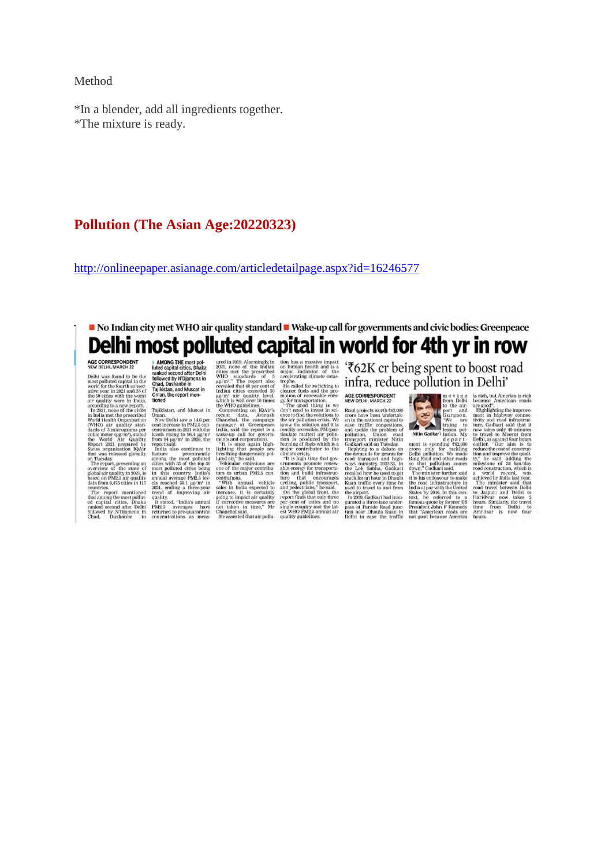### Method

\*In a blender, add all ingredients together. \*The mixture is ready.

### **Pollution (The Asian Age:20220323)**

http://onlineepaper.asianage.com/articledetailpage.aspx?id=16246577

# No Indian city met WHO air quality standard Wake-up call for governments and civic bodies: Greenpeace Delhi most polluted capital in world for 4th yr in row

### AGE CORRESPONDENT

NEW DELHI, MARCH 22<br>
Delhi was found to be the most political capital in the world for the fourth consect<br>
most political capital in the world respectively the 50 divisor with<br>
the social and 35 of the quality were in 190

on Tuesday.<br>The report, presenting an overview of the state of<br>overview of the state of<br>global air quality in 2021, is<br>based on PM2.5 air quality<br>data from 6,475 cities in 117

countries.<br>The report mentioned that among the most pollution<br>ed capital cities, Dhaka<br>ranked second after Delhi<br>followed by N'Djamena in<br>Chad, Dushanbe in

**IDENTIFY FOR THE EXAMPLE CONTROL TO THE CONTROL TO THE SEE INTERFERIENCE IN THE SEE IN THE SEE IN THE SEE IN THE SEE IN THE SEE IN THE SEE IN THE SEE IN THE SEE IN THE SEE IN THE SEE IN THE SEE IN THE SEE IN THE SEE IN T**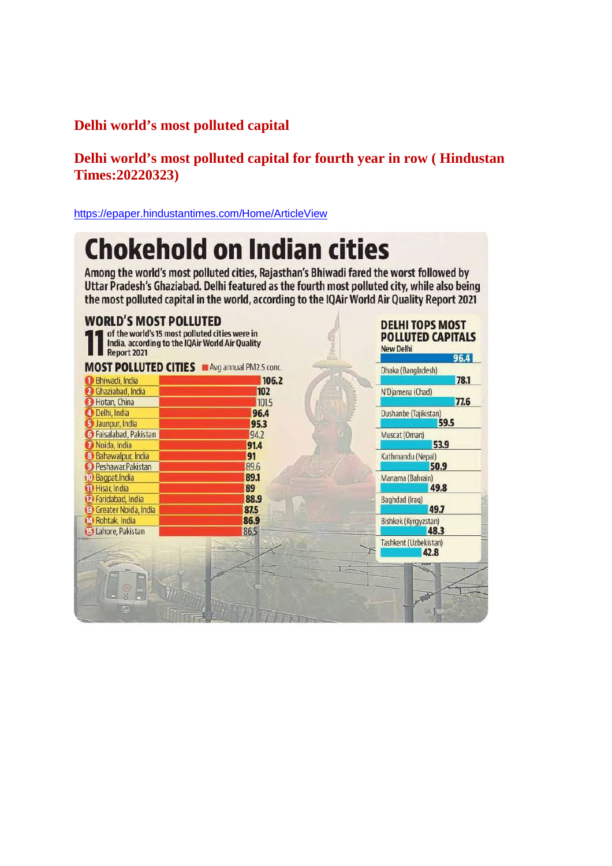# **Delhi world's most polluted capital**

# **Delhi world's most polluted capital for fourth year in row ( Hindustan Times:20220323)**

https://epaper.hindustantimes.com/Home/ArticleView

# **Chokehold on Indian cities**

Among the world's most polluted cities, Rajasthan's Bhiwadi fared the worst followed by Uttar Pradesh's Ghaziabad. Delhi featured as the fourth most polluted city, while also being the most polluted capital in the world, according to the IQAir World Air Quality Report 2021

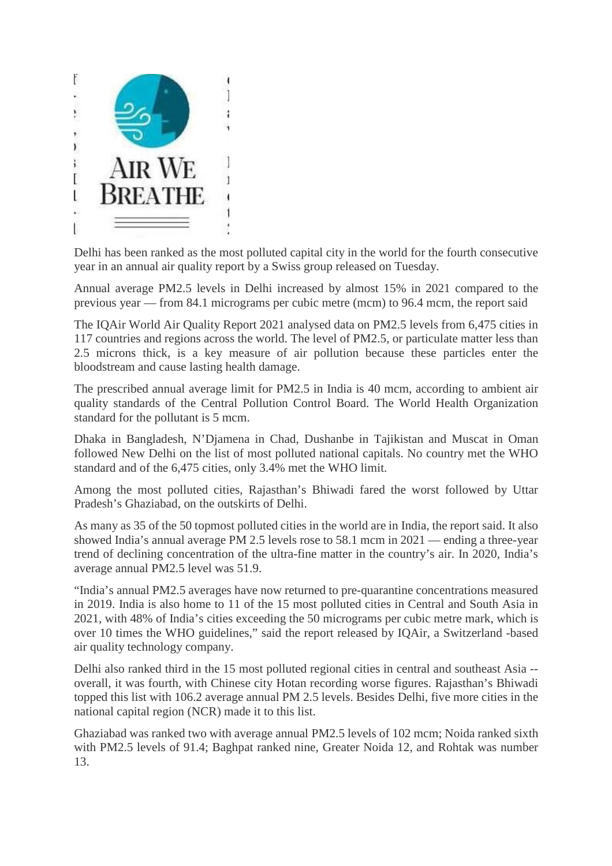

Delhi has been ranked as the most polluted capital city in the world for the fourth consecutive year in an annual air quality report by a Swiss group released on Tuesday.

Annual average PM2.5 levels in Delhi increased by almost 15% in 2021 compared to the previous year — from 84.1 micrograms per cubic metre (mcm) to 96.4 mcm, the report said

The IQAir World Air Quality Report 2021 analysed data on PM2.5 levels from 6,475 cities in 117 countries and regions across the world. The level of PM2.5, or particulate matter less than 2.5 microns thick, is a key measure of air pollution because these particles enter the bloodstream and cause lasting health damage.

The prescribed annual average limit for PM2.5 in India is 40 mcm, according to ambient air quality standards of the Central Pollution Control Board. The World Health Organization standard for the pollutant is 5 mcm.

Dhaka in Bangladesh, N'Djamena in Chad, Dushanbe in Tajikistan and Muscat in Oman followed New Delhi on the list of most polluted national capitals. No country met the WHO standard and of the 6,475 cities, only 3.4% met the WHO limit.

Among the most polluted cities, Rajasthan's Bhiwadi fared the worst followed by Uttar Pradesh's Ghaziabad, on the outskirts of Delhi.

As many as 35 of the 50 topmost polluted cities in the world are in India, the report said. It also showed India's annual average PM 2.5 levels rose to 58.1 mcm in 2021 — ending a three-year trend of declining concentration of the ultra-fine matter in the country's air. In 2020, India's average annual PM2.5 level was 51.9.

"India's annual PM2.5 averages have now returned to pre-quarantine concentrations measured in 2019. India is also home to 11 of the 15 most polluted cities in Central and South Asia in 2021, with 48% of India's cities exceeding the 50 micrograms per cubic metre mark, which is over 10 times the WHO guidelines," said the report released by IQAir, a Switzerland -based air quality technology company.

Delhi also ranked third in the 15 most polluted regional cities in central and southeast Asia - overall, it was fourth, with Chinese city Hotan recording worse figures. Rajasthan's Bhiwadi topped this list with 106.2 average annual PM 2.5 levels. Besides Delhi, five more cities in the national capital region (NCR) made it to this list.

Ghaziabad was ranked two with average annual PM2.5 levels of 102 mcm; Noida ranked sixth with PM2.5 levels of 91.4; Baghpat ranked nine, Greater Noida 12, and Rohtak was number 13.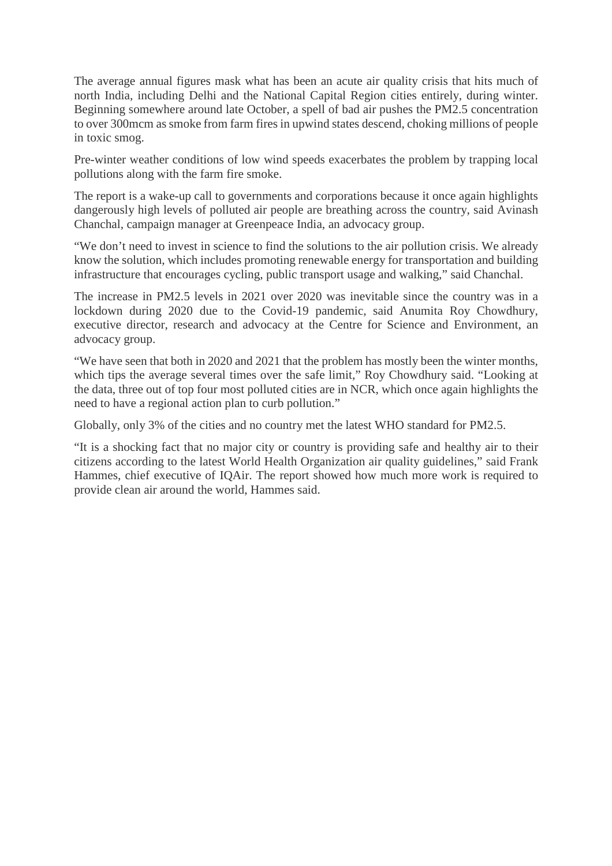The average annual figures mask what has been an acute air quality crisis that hits much of north India, including Delhi and the National Capital Region cities entirely, during winter. Beginning somewhere around late October, a spell of bad air pushes the PM2.5 concentration to over 300mcm as smoke from farm fires in upwind states descend, choking millions of people in toxic smog.

Pre-winter weather conditions of low wind speeds exacerbates the problem by trapping local pollutions along with the farm fire smoke.

The report is a wake-up call to governments and corporations because it once again highlights dangerously high levels of polluted air people are breathing across the country, said Avinash Chanchal, campaign manager at Greenpeace India, an advocacy group.

"We don't need to invest in science to find the solutions to the air pollution crisis. We already know the solution, which includes promoting renewable energy for transportation and building infrastructure that encourages cycling, public transport usage and walking," said Chanchal.

The increase in PM2.5 levels in 2021 over 2020 was inevitable since the country was in a lockdown during 2020 due to the Covid-19 pandemic, said Anumita Roy Chowdhury, executive director, research and advocacy at the Centre for Science and Environment, an advocacy group.

"We have seen that both in 2020 and 2021 that the problem has mostly been the winter months, which tips the average several times over the safe limit," Roy Chowdhury said. "Looking at the data, three out of top four most polluted cities are in NCR, which once again highlights the need to have a regional action plan to curb pollution."

Globally, only 3% of the cities and no country met the latest WHO standard for PM2.5.

"It is a shocking fact that no major city or country is providing safe and healthy air to their citizens according to the latest World Health Organization air quality guidelines," said Frank Hammes, chief executive of IQAir. The report showed how much more work is required to provide clean air around the world, Hammes said.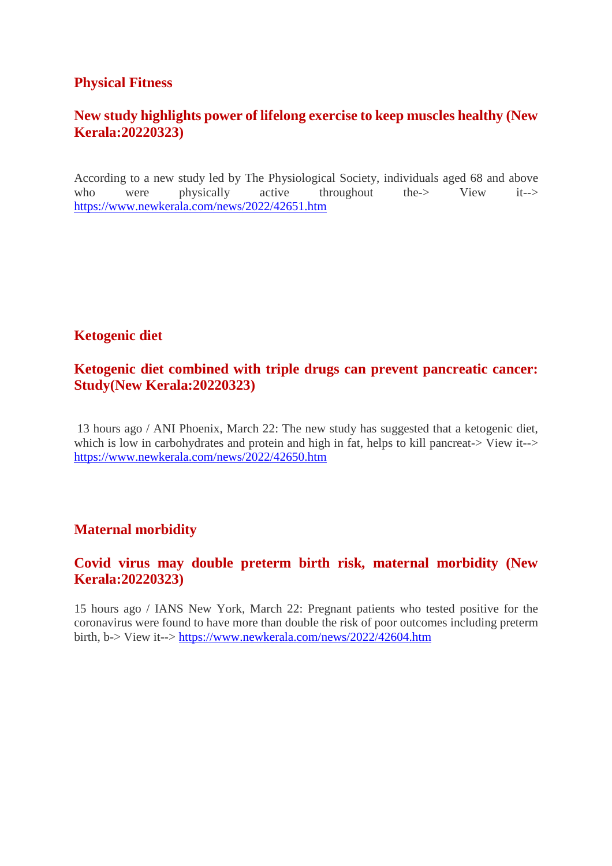## **Physical Fitness**

# **New study highlights power of lifelong exercise to keep muscles healthy (New Kerala:20220323)**

According to a new study led by The Physiological Society, individuals aged 68 and above who were physically active throughout the-> View it--> https://www.newkerala.com/news/2022/42651.htm

# **Ketogenic diet**

# **Ketogenic diet combined with triple drugs can prevent pancreatic cancer: Study(New Kerala:20220323)**

13 hours ago / ANI Phoenix, March 22: The new study has suggested that a ketogenic diet, which is low in carbohydrates and protein and high in fat, helps to kill pancreat-> View it--> https://www.newkerala.com/news/2022/42650.htm

# **Maternal morbidity**

# **Covid virus may double preterm birth risk, maternal morbidity (New Kerala:20220323)**

15 hours ago / IANS New York, March 22: Pregnant patients who tested positive for the coronavirus were found to have more than double the risk of poor outcomes including preterm birth, b-> View it--> https://www.newkerala.com/news/2022/42604.htm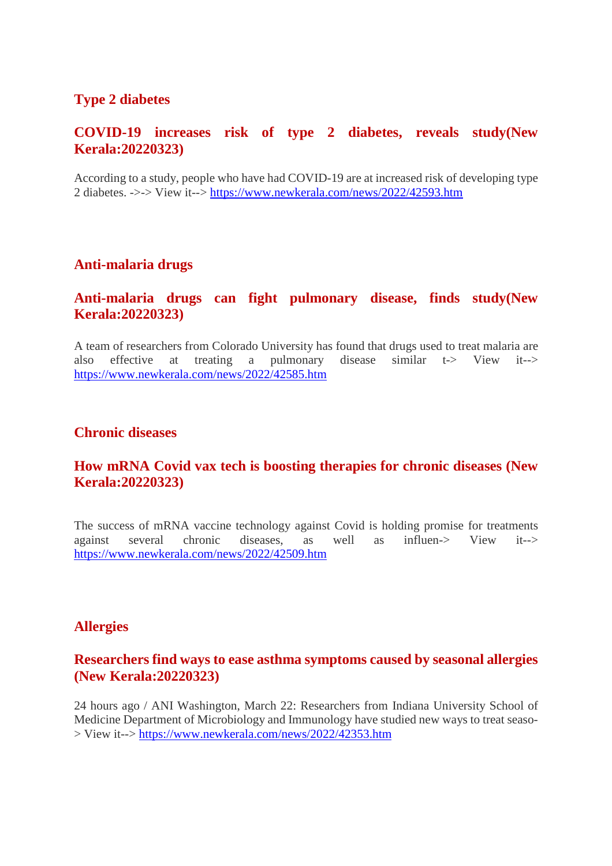# **Type 2 diabetes**

# **COVID-19 increases risk of type 2 diabetes, reveals study(New Kerala:20220323)**

According to a study, people who have had COVID-19 are at increased risk of developing type 2 diabetes. ->-> View it--> https://www.newkerala.com/news/2022/42593.htm

# **Anti-malaria drugs**

# **Anti-malaria drugs can fight pulmonary disease, finds study(New Kerala:20220323)**

A team of researchers from Colorado University has found that drugs used to treat malaria are also effective at treating a pulmonary disease similar  $t\rightarrow$  View it- $\rightarrow$ https://www.newkerala.com/news/2022/42585.htm

### **Chronic diseases**

# **How mRNA Covid vax tech is boosting therapies for chronic diseases (New Kerala:20220323)**

The success of mRNA vaccine technology against Covid is holding promise for treatments against several chronic diseases, as well as influen-> View it--> https://www.newkerala.com/news/2022/42509.htm

### **Allergies**

### **Researchers find ways to ease asthma symptoms caused by seasonal allergies (New Kerala:20220323)**

24 hours ago / ANI Washington, March 22: Researchers from Indiana University School of Medicine Department of Microbiology and Immunology have studied new ways to treat seaso- > View it--> https://www.newkerala.com/news/2022/42353.htm